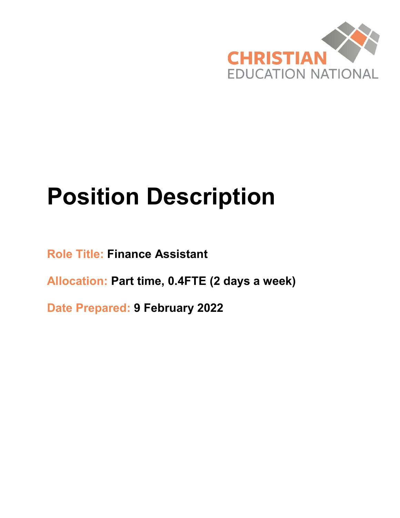

# **Position Description**

**Role Title: Finance Assistant**

**Allocation: Part time, 0.4FTE (2 days a week)**

**Date Prepared: 9 February 2022**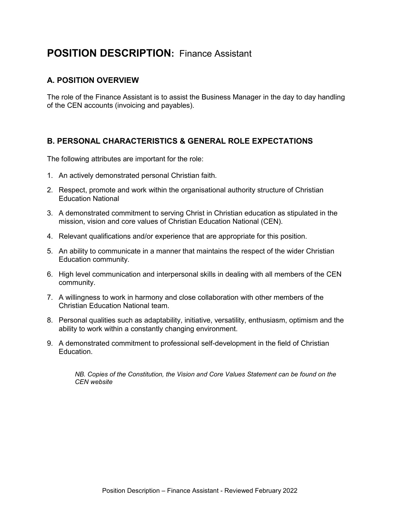# **POSITION DESCRIPTION:** Finance Assistant

#### **A. POSITION OVERVIEW**

The role of the Finance Assistant is to assist the Business Manager in the day to day handling of the CEN accounts (invoicing and payables).

#### **B. PERSONAL CHARACTERISTICS & GENERAL ROLE EXPECTATIONS**

The following attributes are important for the role:

- 1. An actively demonstrated personal Christian faith.
- 2. Respect, promote and work within the organisational authority structure of Christian Education National
- 3. A demonstrated commitment to serving Christ in Christian education as stipulated in the mission, vision and core values of Christian Education National (CEN).
- 4. Relevant qualifications and/or experience that are appropriate for this position.
- 5. An ability to communicate in a manner that maintains the respect of the wider Christian Education community.
- 6. High level communication and interpersonal skills in dealing with all members of the CEN community.
- 7. A willingness to work in harmony and close collaboration with other members of the Christian Education National team.
- 8. Personal qualities such as adaptability, initiative, versatility, enthusiasm, optimism and the ability to work within a constantly changing environment.
- 9. A demonstrated commitment to professional self-development in the field of Christian Education.

*NB. Copies of the Constitution, the Vision and Core Values Statement can be found on the CEN website*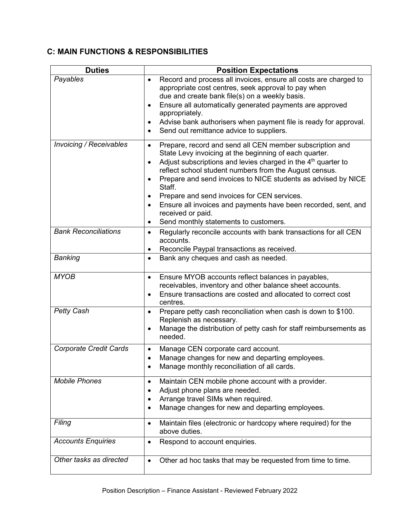### **C: MAIN FUNCTIONS & RESPONSIBILITIES**

| <b>Duties</b>                 | <b>Position Expectations</b>                                                                                                   |
|-------------------------------|--------------------------------------------------------------------------------------------------------------------------------|
| Payables                      | Record and process all invoices, ensure all costs are charged to<br>$\bullet$                                                  |
|                               | appropriate cost centres, seek approval to pay when<br>due and create bank file(s) on a weekly basis.                          |
|                               | Ensure all automatically generated payments are approved<br>٠                                                                  |
|                               | appropriately.                                                                                                                 |
|                               | Advise bank authorisers when payment file is ready for approval.<br>٠                                                          |
|                               | Send out remittance advice to suppliers.<br>٠                                                                                  |
| Invoicing / Receivables       | Prepare, record and send all CEN member subscription and<br>$\bullet$                                                          |
|                               | State Levy invoicing at the beginning of each quarter.                                                                         |
|                               | Adjust subscriptions and levies charged in the $4th$ quarter to<br>٠<br>reflect school student numbers from the August census. |
|                               | Prepare and send invoices to NICE students as advised by NICE                                                                  |
|                               | Staff.                                                                                                                         |
|                               | Prepare and send invoices for CEN services.<br>$\bullet$                                                                       |
|                               | Ensure all invoices and payments have been recorded, sent, and<br>٠                                                            |
|                               | received or paid.                                                                                                              |
| <b>Bank Reconciliations</b>   | Send monthly statements to customers.<br>٠                                                                                     |
|                               | Regularly reconcile accounts with bank transactions for all CEN<br>$\bullet$<br>accounts.                                      |
|                               | Reconcile Paypal transactions as received.<br>٠                                                                                |
| Banking                       | Bank any cheques and cash as needed.<br>$\bullet$                                                                              |
|                               |                                                                                                                                |
| <b>MYOB</b>                   | Ensure MYOB accounts reflect balances in payables,<br>$\bullet$                                                                |
|                               | receivables, inventory and other balance sheet accounts.                                                                       |
|                               | Ensure transactions are costed and allocated to correct cost<br>$\bullet$<br>centres.                                          |
| <b>Petty Cash</b>             | Prepare petty cash reconciliation when cash is down to \$100.<br>$\bullet$                                                     |
|                               | Replenish as necessary.                                                                                                        |
|                               | Manage the distribution of petty cash for staff reimbursements as<br>$\bullet$<br>needed.                                      |
| <b>Corporate Credit Cards</b> | Manage CEN corporate card account.<br>$\bullet$                                                                                |
|                               | Manage changes for new and departing employees.                                                                                |
|                               | Manage monthly reconciliation of all cards.<br>٠                                                                               |
| <b>Mobile Phones</b>          | Maintain CEN mobile phone account with a provider.<br>$\bullet$                                                                |
|                               | Adjust phone plans are needed.                                                                                                 |
|                               | Arrange travel SIMs when required.                                                                                             |
|                               | Manage changes for new and departing employees.<br>٠                                                                           |
| Filing                        | Maintain files (electronic or hardcopy where required) for the<br>٠                                                            |
|                               | above duties.                                                                                                                  |
| <b>Accounts Enquiries</b>     | Respond to account enquiries.<br>٠                                                                                             |
| Other tasks as directed       | Other ad hoc tasks that may be requested from time to time.<br>$\bullet$                                                       |
|                               |                                                                                                                                |